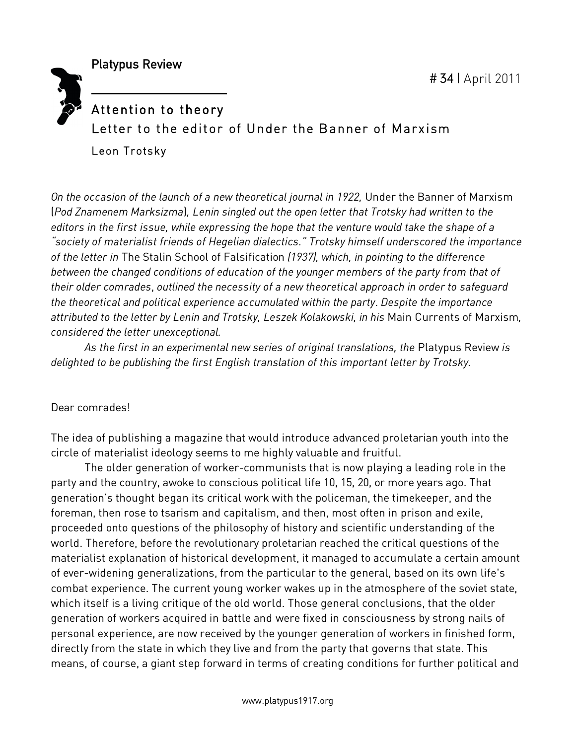Platypus Review

## Attention to theory Letter to the editor of Under the Banner of Marxism Leon Trotsky

*On the occasion of the launch of a new theoretical journal in 1922,* Under the Banner of Marxism (*Pod Znamenem Marksizma*)*, Lenin singled out the open letter that Trotsky had written to the editors in the first issue, while expressing the hope that the venture would take the shape of a "society of materialist friends of Hegelian dialectics." Trotsky himself underscored the importance of the letter in* The Stalin School of Falsification *(1937), which, in pointing to the difference between the changed conditions of education of the younger members of the party from that of their older comrades*, *outlined the necessity of a new theoretical approach in order to safeguard the theoretical and political experience accumulated within the party*. *Despite the importance attributed to the letter by Lenin and Trotsky, Leszek Kolakowski, in his* Main Currents of Marxism*, considered the letter unexceptional.*

*As the first in an experimental new series of original translations, the* Platypus Review *is delighted to be publishing the first English translation of this important letter by Trotsky.*

## Dear comrades!

The idea of publishing a magazine that would introduce advanced proletarian youth into the circle of materialist ideology seems to me highly valuable and fruitful.

The older generation of worker-communists that is now playing a leading role in the party and the country, awoke to conscious political life 10, 15, 20, or more years ago. That generation's thought began its critical work with the policeman, the timekeeper, and the foreman, then rose to tsarism and capitalism, and then, most often in prison and exile, proceeded onto questions of the philosophy of history and scientific understanding of the world. Therefore, before the revolutionary proletarian reached the critical questions of the materialist explanation of historical development, it managed to accumulate a certain amount of ever-widening generalizations, from the particular to the general, based on its own life's combat experience. The current young worker wakes up in the atmosphere of the soviet state, which itself is a living critique of the old world. Those general conclusions, that the older generation of workers acquired in battle and were fixed in consciousness by strong nails of personal experience, are now received by the younger generation of workers in finished form, directly from the state in which they live and from the party that governs that state. This means, of course, a giant step forward in terms of creating conditions for further political and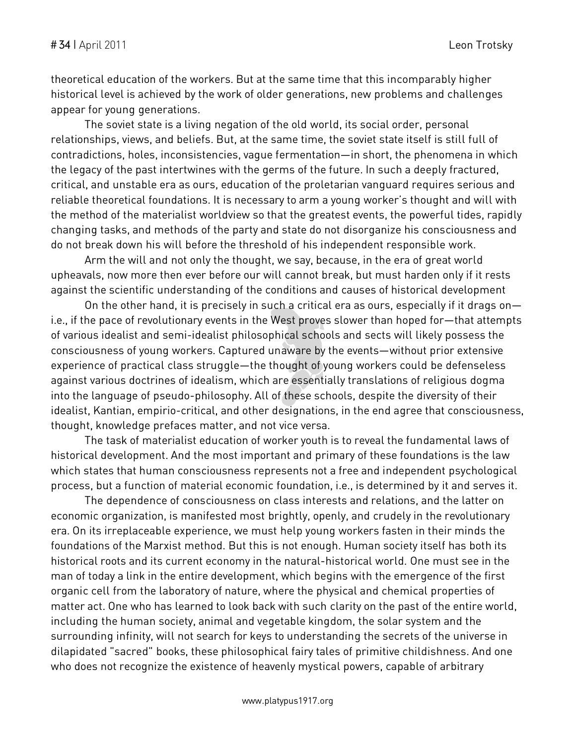theoretical education of the workers. But at the same time that this incomparably higher historical level is achieved by the work of older generations, new problems and challenges appear for young generations.

The soviet state is a living negation of the old world, its social order, personal relationships, views, and beliefs. But, at the same time, the soviet state itself is still full of contradictions, holes, inconsistencies, vague fermentation—in short, the phenomena in which the legacy of the past intertwines with the germs of the future. In such a deeply fractured, critical, and unstable era as ours, education of the proletarian vanguard requires serious and reliable theoretical foundations. It is necessary to arm a young worker's thought and will with the method of the materialist worldview so that the greatest events, the powerful tides, rapidly changing tasks, and methods of the party and state do not disorganize his consciousness and do not break down his will before the threshold of his independent responsible work.

Arm the will and not only the thought, we say, because, in the era of great world upheavals, now more then ever before our will cannot break, but must harden only if it rests against the scientific understanding of the conditions and causes of historical development

On the other hand, it is precisely in such a critical era as ours, especially if it drags on i.e., if the pace of revolutionary events in the West proves slower than hoped for—that attempts of various idealist and semi-idealist philosophical schools and sects will likely possess the consciousness of young workers. Captured unaware by the events—without prior extensive experience of practical class struggle—the thought of young workers could be defenseless against various doctrines of idealism, which are essentially translations of religious dogma into the language of pseudo-philosophy. All of these schools, despite the diversity of their idealist, Kantian, empirio-critical, and other designations, in the end agree that consciousness, thought, knowledge prefaces matter, and not vice versa.

The task of materialist education of worker youth is to reveal the fundamental laws of historical development. And the most important and primary of these foundations is the law which states that human consciousness represents not a free and independent psychological process, but a function of material economic foundation, i.e., is determined by it and serves it.

The dependence of consciousness on class interests and relations, and the latter on economic organization, is manifested most brightly, openly, and crudely in the revolutionary era. On its irreplaceable experience, we must help young workers fasten in their minds the foundations of the Marxist method. But this is not enough. Human society itself has both its historical roots and its current economy in the natural-historical world. One must see in the man of today a link in the entire development, which begins with the emergence of the first organic cell from the laboratory of nature, where the physical and chemical properties of matter act. One who has learned to look back with such clarity on the past of the entire world, including the human society, animal and vegetable kingdom, the solar system and the surrounding infinity, will not search for keys to understanding the secrets of the universe in dilapidated "sacred" books, these philosophical fairy tales of primitive childishness. And one who does not recognize the existence of heavenly mystical powers, capable of arbitrary